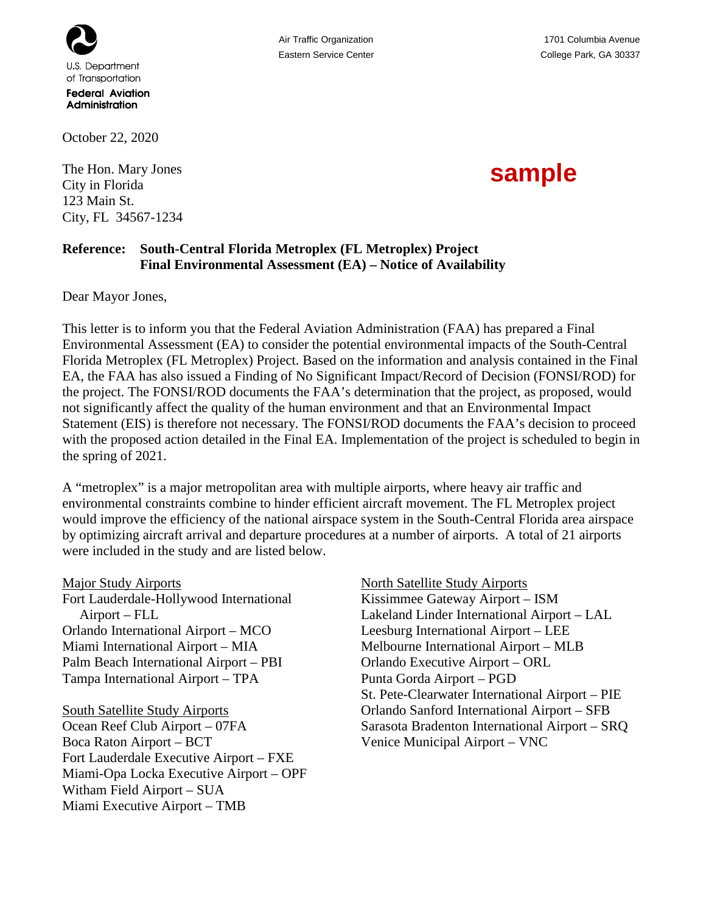

**Federal Aviation** Administration

October 22, 2020

The Hon. Mary Jones City in Florida 123 Main St. City, FL 34567-1234 Air Traffic Organization 1701 Columbia Avenue

## **sample**

## **Reference: South-Central Florida Metroplex (FL Metroplex) Project Final Environmental Assessment (EA) – Notice of Availability**

Dear Mayor Jones,

This letter is to inform you that the Federal Aviation Administration (FAA) has prepared a Final Environmental Assessment (EA) to consider the potential environmental impacts of the South-Central Florida Metroplex (FL Metroplex) Project. Based on the information and analysis contained in the Final EA, the FAA has also issued a Finding of No Significant Impact/Record of Decision (FONSI/ROD) for the project. The FONSI/ROD documents the FAA's determination that the project, as proposed, would not significantly affect the quality of the human environment and that an Environmental Impact Statement (EIS) is therefore not necessary. The FONSI/ROD documents the FAA's decision to proceed with the proposed action detailed in the Final EA. Implementation of the project is scheduled to begin in the spring of 2021.

A "metroplex" is a major metropolitan area with multiple airports, where heavy air traffic and environmental constraints combine to hinder efficient aircraft movement. The FL Metroplex project would improve the efficiency of the national airspace system in the South-Central Florida area airspace by optimizing aircraft arrival and departure procedures at a number of airports. A total of 21 airports were included in the study and are listed below.

Major Study Airports Fort Lauderdale-Hollywood International Airport – FLL Orlando International Airport – MCO Miami International Airport – MIA Palm Beach International Airport – PBI

Tampa International Airport – TPA

South Satellite Study Airports Ocean Reef Club Airport – 07FA Boca Raton Airport – BCT Fort Lauderdale Executive Airport – FXE Miami-Opa Locka Executive Airport – OPF Witham Field Airport – SUA Miami Executive Airport – TMB

North Satellite Study Airports Kissimmee Gateway Airport – ISM Lakeland Linder International Airport – LAL Leesburg International Airport – LEE Melbourne International Airport – MLB Orlando Executive Airport – ORL Punta Gorda Airport – PGD St. Pete-Clearwater International Airport – PIE Orlando Sanford International Airport – SFB Sarasota Bradenton International Airport – SRQ Venice Municipal Airport – VNC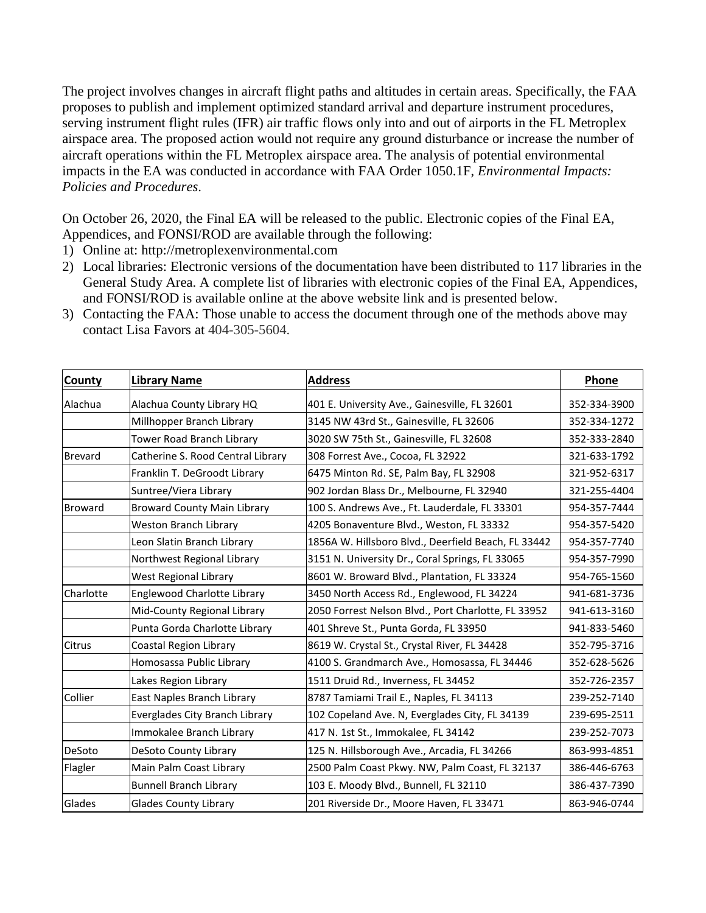The project involves changes in aircraft flight paths and altitudes in certain areas. Specifically, the FAA proposes to publish and implement optimized standard arrival and departure instrument procedures, serving instrument flight rules (IFR) air traffic flows only into and out of airports in the FL Metroplex airspace area. The proposed action would not require any ground disturbance or increase the number of aircraft operations within the FL Metroplex airspace area. The analysis of potential environmental impacts in the EA was conducted in accordance with FAA Order 1050.1F, *Environmental Impacts: Policies and Procedures*.

On October 26, 2020, the Final EA will be released to the public. Electronic copies of the Final EA, Appendices, and FONSI/ROD are available through the following:

- 1) Online at: http://metroplexenvironmental.com
- 2) Local libraries: Electronic versions of the documentation have been distributed to 117 libraries in the General Study Area. A complete list of libraries with electronic copies of the Final EA, Appendices, and FONSI/ROD is available online at the above website link and is presented below.

| 3) Contacting the FAA: Those unable to access the document through one of the methods above may |
|-------------------------------------------------------------------------------------------------|
| contact Lisa Favors at 404-305-5604.                                                            |

| <b>County</b>  | <b>Library Name</b>                | <b>Address</b>                                      | Phone        |
|----------------|------------------------------------|-----------------------------------------------------|--------------|
| Alachua        | Alachua County Library HQ          | 401 E. University Ave., Gainesville, FL 32601       | 352-334-3900 |
|                | Millhopper Branch Library          | 3145 NW 43rd St., Gainesville, FL 32606             | 352-334-1272 |
|                | Tower Road Branch Library          | 3020 SW 75th St., Gainesville, FL 32608             | 352-333-2840 |
| <b>Brevard</b> | Catherine S. Rood Central Library  | 308 Forrest Ave., Cocoa, FL 32922                   | 321-633-1792 |
|                | Franklin T. DeGroodt Library       | 6475 Minton Rd. SE, Palm Bay, FL 32908              | 321-952-6317 |
|                | Suntree/Viera Library              | 902 Jordan Blass Dr., Melbourne, FL 32940           | 321-255-4404 |
| <b>Broward</b> | <b>Broward County Main Library</b> | 100 S. Andrews Ave., Ft. Lauderdale, FL 33301       | 954-357-7444 |
|                | <b>Weston Branch Library</b>       | 4205 Bonaventure Blvd., Weston, FL 33332            | 954-357-5420 |
|                | Leon Slatin Branch Library         | 1856A W. Hillsboro Blvd., Deerfield Beach, FL 33442 | 954-357-7740 |
|                | Northwest Regional Library         | 3151 N. University Dr., Coral Springs, FL 33065     | 954-357-7990 |
|                | <b>West Regional Library</b>       | 8601 W. Broward Blvd., Plantation, FL 33324         | 954-765-1560 |
| Charlotte      | Englewood Charlotte Library        | 3450 North Access Rd., Englewood, FL 34224          | 941-681-3736 |
|                | Mid-County Regional Library        | 2050 Forrest Nelson Blvd., Port Charlotte, FL 33952 | 941-613-3160 |
|                | Punta Gorda Charlotte Library      | 401 Shreve St., Punta Gorda, FL 33950               | 941-833-5460 |
| <b>Citrus</b>  | Coastal Region Library             | 8619 W. Crystal St., Crystal River, FL 34428        | 352-795-3716 |
|                | Homosassa Public Library           | 4100 S. Grandmarch Ave., Homosassa, FL 34446        | 352-628-5626 |
|                | Lakes Region Library               | 1511 Druid Rd., Inverness, FL 34452                 | 352-726-2357 |
| Collier        | East Naples Branch Library         | 8787 Tamiami Trail E., Naples, FL 34113             | 239-252-7140 |
|                | Everglades City Branch Library     | 102 Copeland Ave. N, Everglades City, FL 34139      | 239-695-2511 |
|                | Immokalee Branch Library           | 417 N. 1st St., Immokalee, FL 34142                 | 239-252-7073 |
| DeSoto         | DeSoto County Library              | 125 N. Hillsborough Ave., Arcadia, FL 34266         | 863-993-4851 |
| Flagler        | Main Palm Coast Library            | 2500 Palm Coast Pkwy. NW, Palm Coast, FL 32137      | 386-446-6763 |
|                | <b>Bunnell Branch Library</b>      | 103 E. Moody Blvd., Bunnell, FL 32110               | 386-437-7390 |
| Glades         | <b>Glades County Library</b>       | 201 Riverside Dr., Moore Haven, FL 33471            | 863-946-0744 |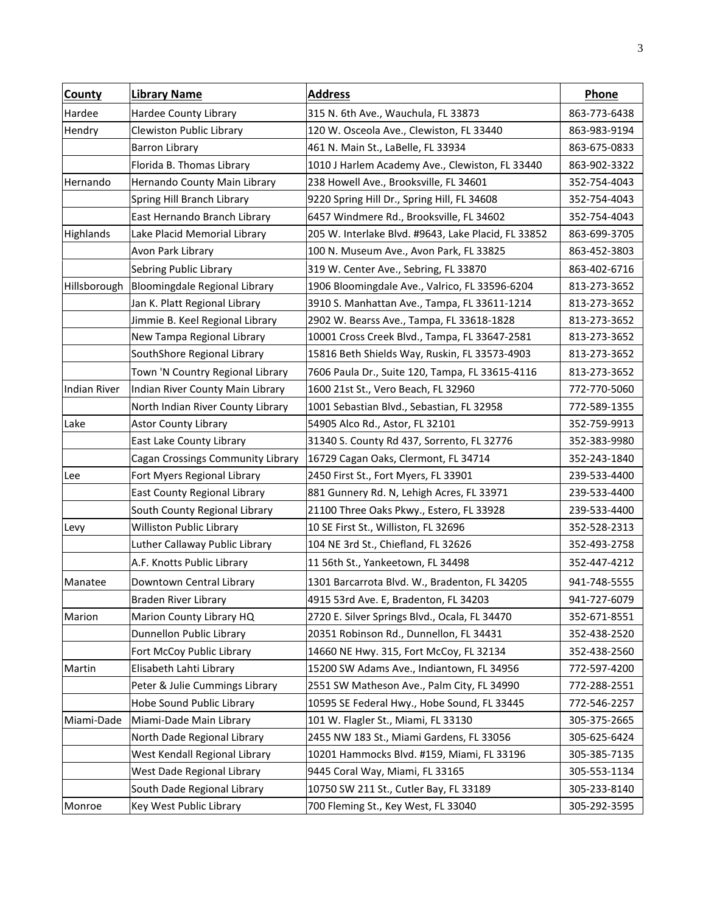| <b>County</b> | <b>Library Name</b>               | <b>Address</b>                                      | Phone        |
|---------------|-----------------------------------|-----------------------------------------------------|--------------|
| Hardee        | Hardee County Library             | 315 N. 6th Ave., Wauchula, FL 33873                 | 863-773-6438 |
| Hendry        | Clewiston Public Library          | 120 W. Osceola Ave., Clewiston, FL 33440            | 863-983-9194 |
|               | <b>Barron Library</b>             | 461 N. Main St., LaBelle, FL 33934                  | 863-675-0833 |
|               | Florida B. Thomas Library         | 1010 J Harlem Academy Ave., Clewiston, FL 33440     | 863-902-3322 |
| Hernando      | Hernando County Main Library      | 238 Howell Ave., Brooksville, FL 34601              | 352-754-4043 |
|               | Spring Hill Branch Library        | 9220 Spring Hill Dr., Spring Hill, FL 34608         | 352-754-4043 |
|               | East Hernando Branch Library      | 6457 Windmere Rd., Brooksville, FL 34602            | 352-754-4043 |
| Highlands     | Lake Placid Memorial Library      | 205 W. Interlake Blvd. #9643, Lake Placid, FL 33852 | 863-699-3705 |
|               | Avon Park Library                 | 100 N. Museum Ave., Avon Park, FL 33825             | 863-452-3803 |
|               | Sebring Public Library            | 319 W. Center Ave., Sebring, FL 33870               | 863-402-6716 |
| Hillsborough  | Bloomingdale Regional Library     | 1906 Bloomingdale Ave., Valrico, FL 33596-6204      | 813-273-3652 |
|               | Jan K. Platt Regional Library     | 3910 S. Manhattan Ave., Tampa, FL 33611-1214        | 813-273-3652 |
|               | Jimmie B. Keel Regional Library   | 2902 W. Bearss Ave., Tampa, FL 33618-1828           | 813-273-3652 |
|               | New Tampa Regional Library        | 10001 Cross Creek Blvd., Tampa, FL 33647-2581       | 813-273-3652 |
|               | SouthShore Regional Library       | 15816 Beth Shields Way, Ruskin, FL 33573-4903       | 813-273-3652 |
|               | Town 'N Country Regional Library  | 7606 Paula Dr., Suite 120, Tampa, FL 33615-4116     | 813-273-3652 |
| Indian River  | Indian River County Main Library  | 1600 21st St., Vero Beach, FL 32960                 | 772-770-5060 |
|               | North Indian River County Library | 1001 Sebastian Blvd., Sebastian, FL 32958           | 772-589-1355 |
| Lake          | <b>Astor County Library</b>       | 54905 Alco Rd., Astor, FL 32101                     | 352-759-9913 |
|               | East Lake County Library          | 31340 S. County Rd 437, Sorrento, FL 32776          | 352-383-9980 |
|               | Cagan Crossings Community Library | 16729 Cagan Oaks, Clermont, FL 34714                | 352-243-1840 |
| Lee           | Fort Myers Regional Library       | 2450 First St., Fort Myers, FL 33901                | 239-533-4400 |
|               | East County Regional Library      | 881 Gunnery Rd. N, Lehigh Acres, FL 33971           | 239-533-4400 |
|               | South County Regional Library     | 21100 Three Oaks Pkwy., Estero, FL 33928            | 239-533-4400 |
| Levy          | <b>Williston Public Library</b>   | 10 SE First St., Williston, FL 32696                | 352-528-2313 |
|               | Luther Callaway Public Library    | 104 NE 3rd St., Chiefland, FL 32626                 | 352-493-2758 |
|               | A.F. Knotts Public Library        | 11 56th St., Yankeetown, FL 34498                   | 352-447-4212 |
| Manatee       | Downtown Central Library          | 1301 Barcarrota Blvd. W., Bradenton, FL 34205       | 941-748-5555 |
|               | Braden River Library              | 4915 53rd Ave. E, Bradenton, FL 34203               | 941-727-6079 |
| Marion        | Marion County Library HQ          | 2720 E. Silver Springs Blvd., Ocala, FL 34470       | 352-671-8551 |
|               | Dunnellon Public Library          | 20351 Robinson Rd., Dunnellon, FL 34431             | 352-438-2520 |
|               | Fort McCoy Public Library         | 14660 NE Hwy. 315, Fort McCoy, FL 32134             | 352-438-2560 |
| Martin        | Elisabeth Lahti Library           | 15200 SW Adams Ave., Indiantown, FL 34956           | 772-597-4200 |
|               | Peter & Julie Cummings Library    | 2551 SW Matheson Ave., Palm City, FL 34990          | 772-288-2551 |
|               | Hobe Sound Public Library         | 10595 SE Federal Hwy., Hobe Sound, FL 33445         | 772-546-2257 |
| Miami-Dade    | Miami-Dade Main Library           | 101 W. Flagler St., Miami, FL 33130                 | 305-375-2665 |
|               | North Dade Regional Library       | 2455 NW 183 St., Miami Gardens, FL 33056            | 305-625-6424 |
|               | West Kendall Regional Library     | 10201 Hammocks Blvd. #159, Miami, FL 33196          | 305-385-7135 |
|               | West Dade Regional Library        | 9445 Coral Way, Miami, FL 33165                     | 305-553-1134 |
|               | South Dade Regional Library       | 10750 SW 211 St., Cutler Bay, FL 33189              | 305-233-8140 |
| Monroe        | Key West Public Library           | 700 Fleming St., Key West, FL 33040                 | 305-292-3595 |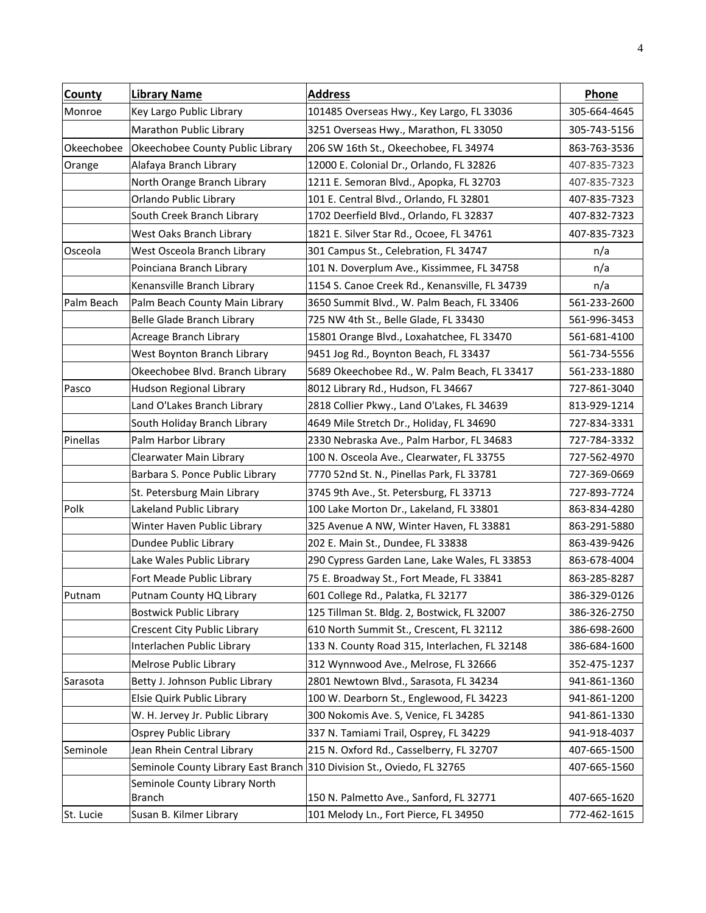| County     | <b>Library Name</b>                                                    | <b>Address</b>                                 | Phone        |
|------------|------------------------------------------------------------------------|------------------------------------------------|--------------|
| Monroe     | Key Largo Public Library                                               | 101485 Overseas Hwy., Key Largo, FL 33036      | 305-664-4645 |
|            | Marathon Public Library                                                | 3251 Overseas Hwy., Marathon, FL 33050         | 305-743-5156 |
| Okeechobee | Okeechobee County Public Library                                       | 206 SW 16th St., Okeechobee, FL 34974          | 863-763-3536 |
| Orange     | Alafaya Branch Library                                                 | 12000 E. Colonial Dr., Orlando, FL 32826       | 407-835-7323 |
|            | North Orange Branch Library                                            | 1211 E. Semoran Blvd., Apopka, FL 32703        | 407-835-7323 |
|            | Orlando Public Library                                                 | 101 E. Central Blvd., Orlando, FL 32801        | 407-835-7323 |
|            | South Creek Branch Library                                             | 1702 Deerfield Blvd., Orlando, FL 32837        | 407-832-7323 |
|            | West Oaks Branch Library                                               | 1821 E. Silver Star Rd., Ocoee, FL 34761       | 407-835-7323 |
| Osceola    | West Osceola Branch Library                                            | 301 Campus St., Celebration, FL 34747          | n/a          |
|            | Poinciana Branch Library                                               | 101 N. Doverplum Ave., Kissimmee, FL 34758     | n/a          |
|            | Kenansville Branch Library                                             | 1154 S. Canoe Creek Rd., Kenansville, FL 34739 | n/a          |
| Palm Beach | Palm Beach County Main Library                                         | 3650 Summit Blvd., W. Palm Beach, FL 33406     | 561-233-2600 |
|            | Belle Glade Branch Library                                             | 725 NW 4th St., Belle Glade, FL 33430          | 561-996-3453 |
|            | Acreage Branch Library                                                 | 15801 Orange Blvd., Loxahatchee, FL 33470      | 561-681-4100 |
|            | West Boynton Branch Library                                            | 9451 Jog Rd., Boynton Beach, FL 33437          | 561-734-5556 |
|            | Okeechobee Blvd. Branch Library                                        | 5689 Okeechobee Rd., W. Palm Beach, FL 33417   | 561-233-1880 |
| Pasco      | Hudson Regional Library                                                | 8012 Library Rd., Hudson, FL 34667             | 727-861-3040 |
|            | Land O'Lakes Branch Library                                            | 2818 Collier Pkwy., Land O'Lakes, FL 34639     | 813-929-1214 |
|            | South Holiday Branch Library                                           | 4649 Mile Stretch Dr., Holiday, FL 34690       | 727-834-3331 |
| Pinellas   | Palm Harbor Library                                                    | 2330 Nebraska Ave., Palm Harbor, FL 34683      | 727-784-3332 |
|            | Clearwater Main Library                                                | 100 N. Osceola Ave., Clearwater, FL 33755      | 727-562-4970 |
|            | Barbara S. Ponce Public Library                                        | 7770 52nd St. N., Pinellas Park, FL 33781      | 727-369-0669 |
|            | St. Petersburg Main Library                                            | 3745 9th Ave., St. Petersburg, FL 33713        | 727-893-7724 |
| Polk       | Lakeland Public Library                                                | 100 Lake Morton Dr., Lakeland, FL 33801        | 863-834-4280 |
|            | Winter Haven Public Library                                            | 325 Avenue A NW, Winter Haven, FL 33881        | 863-291-5880 |
|            | Dundee Public Library                                                  | 202 E. Main St., Dundee, FL 33838              | 863-439-9426 |
|            | Lake Wales Public Library                                              | 290 Cypress Garden Lane, Lake Wales, FL 33853  | 863-678-4004 |
|            | Fort Meade Public Library                                              | 75 E. Broadway St., Fort Meade, FL 33841       | 863-285-8287 |
| Putnam     | Putnam County HQ Library                                               | 601 College Rd., Palatka, FL 32177             | 386-329-0126 |
|            | <b>Bostwick Public Library</b>                                         | 125 Tillman St. Bldg. 2, Bostwick, FL 32007    | 386-326-2750 |
|            | Crescent City Public Library                                           | 610 North Summit St., Crescent, FL 32112       | 386-698-2600 |
|            | Interlachen Public Library                                             | 133 N. County Road 315, Interlachen, FL 32148  | 386-684-1600 |
|            | Melrose Public Library                                                 | 312 Wynnwood Ave., Melrose, FL 32666           | 352-475-1237 |
| Sarasota   | Betty J. Johnson Public Library                                        | 2801 Newtown Blvd., Sarasota, FL 34234         | 941-861-1360 |
|            | Elsie Quirk Public Library                                             | 100 W. Dearborn St., Englewood, FL 34223       | 941-861-1200 |
|            | W. H. Jervey Jr. Public Library                                        | 300 Nokomis Ave. S, Venice, FL 34285           | 941-861-1330 |
|            | Osprey Public Library                                                  | 337 N. Tamiami Trail, Osprey, FL 34229         | 941-918-4037 |
| Seminole   | Jean Rhein Central Library                                             | 215 N. Oxford Rd., Casselberry, FL 32707       | 407-665-1500 |
|            | Seminole County Library East Branch 310 Division St., Oviedo, FL 32765 |                                                | 407-665-1560 |
|            | Seminole County Library North                                          |                                                |              |
|            | Branch                                                                 | 150 N. Palmetto Ave., Sanford, FL 32771        | 407-665-1620 |
| St. Lucie  | Susan B. Kilmer Library                                                | 101 Melody Ln., Fort Pierce, FL 34950          | 772-462-1615 |